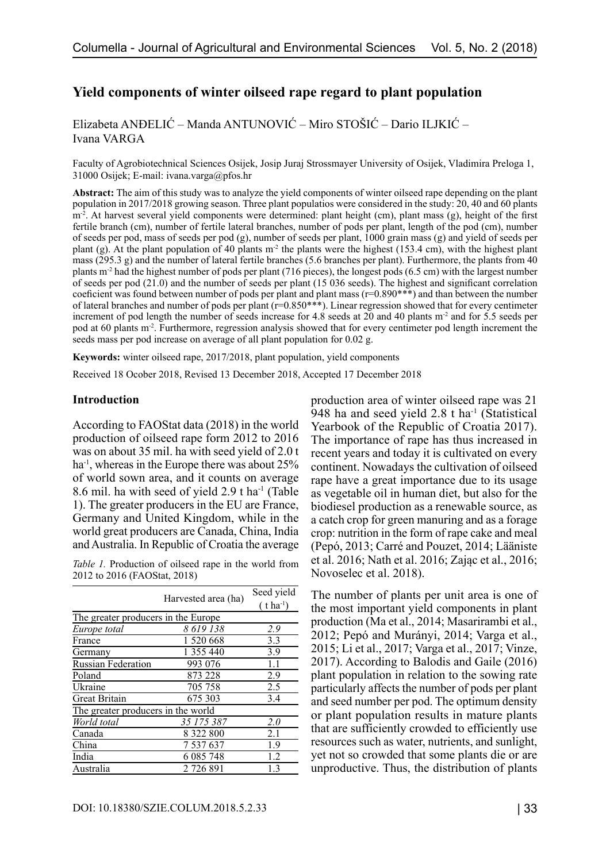# **Yield components of winter oilseed rape regard to plant population**

Elizabeta ANĐELIĆ – Manda ANTUNOVIĆ – Miro STOŠIĆ – Dario ILJKIĆ – Ivana VARGA

Faculty of Agrobiotechnical Sciences Osijek, Josip Juraj Strossmayer University of Osijek, Vladimira Preloga 1, 31000 Osijek; E-mail: ivana.varga@pfos.hr

**Abstract:** The aim of this study was to analyze the yield components of winter oilseed rape depending on the plant population in 2017/2018 growing season. Three plant populatios were considered in the study: 20, 40 and 60 plants  $m<sup>2</sup>$ . At harvest several yield components were determined: plant height (cm), plant mass (g), height of the first fertile branch (cm), number of fertile lateral branches, number of pods per plant, length of the pod (cm), number of seeds per pod, mass of seeds per pod (g), number of seeds per plant, 1000 grain mass (g) and yield of seeds per plant (g). At the plant population of 40 plants m<sup>-2</sup> the plants were the highest (153.4 cm), with the highest plant mass (295.3 g) and the number of lateral fertile branches (5.6 branches per plant). Furthermore, the plants from 40 plants m<sup>-2</sup> had the highest number of pods per plant (716 pieces), the longest pods (6.5 cm) with the largest number of seeds per pod (21.0) and the number of seeds per plant (15 036 seeds). The highest and significant correlation coeficient was found between number of pods per plant and plant mass (r=0.890\*\*\*) and than between the number of lateral branches and number of pods per plant (r=0.850\*\*\*). Linear regression showed that for every centimeter increment of pod length the number of seeds increase for 4.8 seeds at 20 and 40 plants m<sup>-2</sup> and for 5.5 seeds per pod at 60 plants m<sup>-2</sup>. Furthermore, regression analysis showed that for every centimeter pod length increment the seeds mass per pod increase on average of all plant population for 0.02 g.

**Keywords:** winter oilseed rape, 2017/2018, plant population, yield components

Received 18 Ocober 2018, Revised 13 December 2018, Accepted 17 December 2018

#### **Introduction**

According to FAOStat data (2018) in the world production of oilseed rape form 2012 to 2016 was on about 35 mil. ha with seed yield of 2.0 t ha-1, whereas in the Europe there was about 25% of world sown area, and it counts on average 8.6 mil. ha with seed of yield 2.9 t ha-1 (Table 1). The greater producers in the EU are France, Germany and United Kingdom, while in the world great producers are Canada, China, India and Australia. In Republic of Croatia the average

*Table 1.* Production of oilseed rape in the world from 2012 to 2016 (FAOStat, 2018)

|                                     |                     | Seed yield               |
|-------------------------------------|---------------------|--------------------------|
|                                     | Harvested area (ha) | $(t)$ ha <sup>-1</sup> ) |
| The greater producers in the Europe |                     |                          |
| Europe total                        | 8 619 138           | 2.9                      |
| France                              | 1 520 668           | 3.3                      |
| Germany                             | 1 355 440           | 3.9                      |
| <b>Russian Federation</b>           | 993 076             | 1.1                      |
| Poland                              | 873 228             | 2.9                      |
| Ukraine                             | 705 758             | 2.5                      |
| <b>Great Britain</b>                | 675 303             | 3.4                      |
| The greater producers in the world  |                     |                          |
| World total                         | 35 175 387          | 2.0                      |
| Canada                              | 8 322 800           | 2.1                      |
| China                               | 7 537 637           | 1.9                      |
| India                               | 6 085 748           | 1.2                      |
| Australia                           | 2 726 891           | 1.3                      |

production area of winter oilseed rape was 21 948 ha and seed yield  $2.8$  t ha<sup>-1</sup> (Statistical Yearbook of the Republic of Croatia 2017). The importance of rape has thus increased in recent years and today it is cultivated on every continent. Nowadays the cultivation of oilseed rape have a great importance due to its usage as vegetable oil in human diet, but also for the biodiesel production as a renewable source, as a catch crop for green manuring and as a forage crop: nutrition in the form of rape cake and meal (Pepó, 2013; Carré and Pouzet, 2014; Lääniste et al. 2016; Nath et al. 2016; Zając et al., 2016; Novoselec et al. 2018).

The number of plants per unit area is one of the most important yield components in plant production (Ma et al., 2014; Masarirambi et al., 2012; Pepó and Murányi, 2014; Varga et al., 2015; Li et al., 2017; Varga et al., 2017; Vinze, 2017). According to Balodis and Gaile (2016) plant population in relation to the sowing rate particularly affects the number of pods per plant and seed number per pod. The optimum density or plant population results in mature plants that are sufficiently crowded to efficiently use resources such as water, nutrients, and sunlight, yet not so crowded that some plants die or are unproductive. Thus, the distribution of plants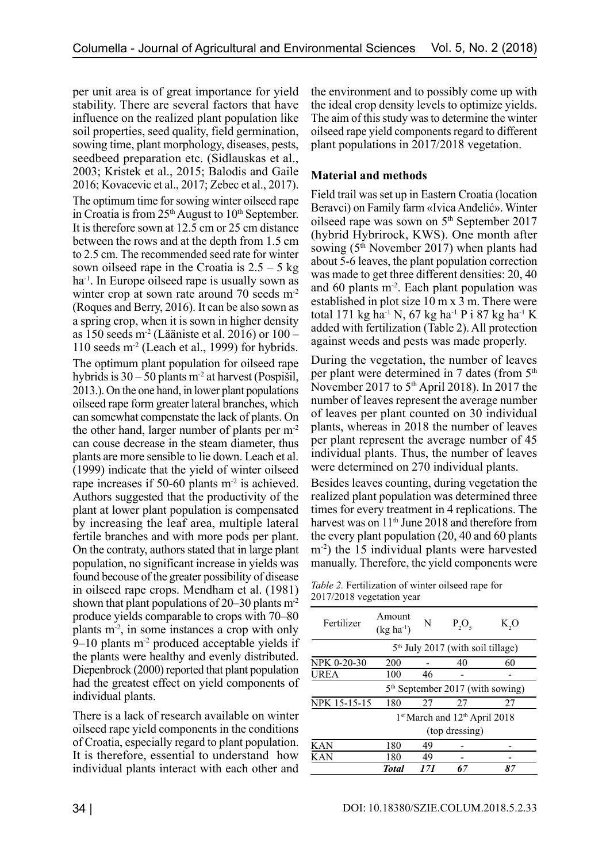per unit area is of great importance for yield stability. There are several factors that have influence on the realized plant population like soil properties, seed quality, field germination, sowing time, plant morphology, diseases, pests, seedbeed preparation etc. (Sidlauskas et al., 2003; Kristek et al., 2015; Balodis and Gaile 2016; Kovacevic et al., 2017; Zebec et al., 2017). The optimum time for sowing winter oilseed rape in Croatia is from  $25<sup>th</sup>$  August to  $10<sup>th</sup>$  September. It is therefore sown at 12.5 cm or 25 cm distance between the rows and at the depth from 1.5 cm to 2.5 cm. The recommended seed rate for winter sown oilseed rape in the Croatia is  $2.5 - 5$  kg ha-1. In Europe oilseed rape is usually sown as winter crop at sown rate around 70 seeds m<sup>-2</sup> (Roques and Berry, 2016). It can be also sown as a spring crop, when it is sown in higher density as 150 seeds  $m<sup>2</sup>$  (Lääniste et al. 2016) or 100 – 110 seeds  $m<sup>2</sup>$  (Leach et al., 1999) for hybrids. The optimum plant population for oilseed rape hybrids is  $30 - 50$  plants m<sup>-2</sup> at harvest (Pospišil, 2013.). On the one hand, in lower plant populations oilseed rape form greater lateral branches, which can somewhat compenstate the lack of plants. On the other hand, larger number of plants per m-2 can couse decrease in the steam diameter, thus plants are more sensible to lie down. Leach et al. (1999) indicate that the yield of winter oilseed rape increases if 50-60 plants  $m<sup>2</sup>$  is achieved. Authors suggested that the productivity of the plant at lower plant population is compensated by increasing the leaf area, multiple lateral fertile branches and with more pods per plant. On the contraty, authors stated that in large plant population, no significant increase in yields was found becouse of the greater possibility of disease in oilseed rape crops. Mendham et al. (1981) shown that plant populations of  $20-30$  plants m<sup>-2</sup> produce yields comparable to crops with 70–80 plants m-2, in some instances a crop with only  $9-10$  plants m<sup>-2</sup> produced acceptable yields if the plants were healthy and evenly distributed. Diepenbrock (2000) reported that plant population had the greatest effect on yield components of individual plants.

There is a lack of research available on winter oilseed rape yield components in the conditions of Croatia, especially regard to plant population. It is therefore, essential to understand how individual plants interact with each other and

the environment and to possibly come up with the ideal crop density levels to optimize yields. The aim of this study was to determine the winter oilseed rape yield components regard to different plant populations in 2017/2018 vegetation.

## **Material and methods**

Field trail was set up in Eastern Croatia (location Beravci) on Family farm «Ivica Anđelić». Winter oilseed rape was sown on 5<sup>th</sup> September 2017 (hybrid Hybrirock, KWS). One month after sowing  $(5<sup>th</sup> November 2017)$  when plants had about 5-6 leaves, the plant population correction was made to get three different densities: 20, 40 and 60 plants  $m<sup>2</sup>$ . Each plant population was established in plot size 10 m x 3 m. There were total 171 kg ha<sup>-1</sup> N, 67 kg ha<sup>-1</sup> P i 87 kg ha<sup>-1</sup> K added with fertilization (Table 2). All protection against weeds and pests was made properly.

During the vegetation, the number of leaves per plant were determined in 7 dates (from  $5<sup>th</sup>$ November 2017 to 5<sup>th</sup> April 2018). In 2017 the number of leaves represent the average number of leaves per plant counted on 30 individual plants, whereas in 2018 the number of leaves per plant represent the average number of 45 individual plants. Thus, the number of leaves were determined on 270 individual plants.

Besides leaves counting, during vegetation the realized plant population was determined three times for every treatment in 4 replications. The harvest was on 11<sup>th</sup> June 2018 and therefore from the every plant population (20, 40 and 60 plants m<sup>-2</sup>) the 15 individual plants were harvested manually. Therefore, the yield components were

| Table 2. Fertilization of winter oilseed rape for |  |  |
|---------------------------------------------------|--|--|
| 2017/2018 vegetation year                         |  |  |

|              | <b>Total</b>             | 171 | 67                                            | 87  |
|--------------|--------------------------|-----|-----------------------------------------------|-----|
| <b>KAN</b>   | 180                      | 49  |                                               |     |
| KAN          | 180                      | 49  |                                               |     |
|              |                          |     | (top dressing)                                |     |
|              |                          |     | 1st March and 12th April 2018                 |     |
| NPK 15-15-15 | 180                      | 27  | 27                                            | 27  |
|              |                          |     | 5 <sup>th</sup> September 2017 (with sowing)  |     |
| <b>UREA</b>  | 100                      | 46  |                                               |     |
| NPK 0-20-30  | 200                      |     | 40                                            | 60  |
|              |                          |     | 5 <sup>th</sup> July 2017 (with soil tillage) |     |
| Fertilizer   | Amount<br>$(kg ha^{-1})$ | N   | $P_2O_5$                                      | K,O |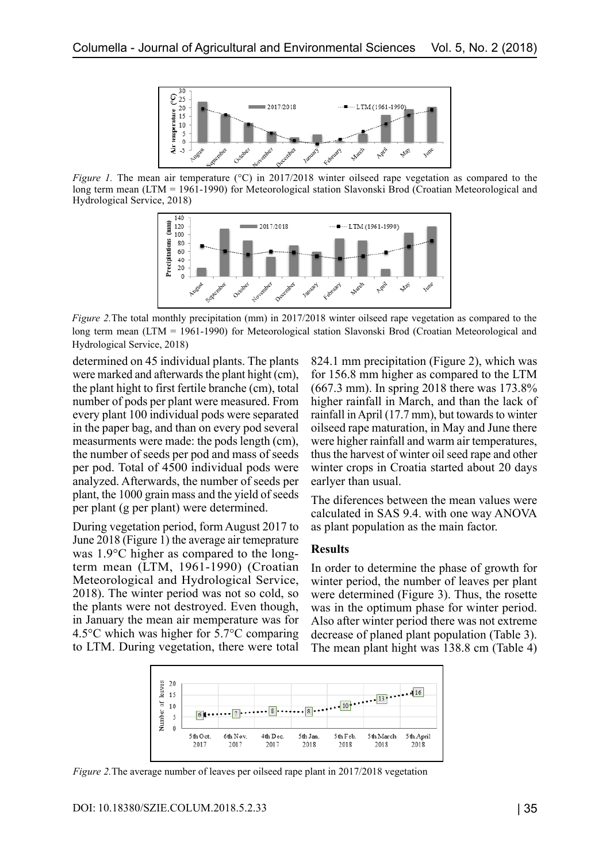

*Figure 1.* The mean air temperature (°C) in 2017/2018 winter oilseed rape vegetation as compared to the long term mean (LTM = 1961-1990) for Meteorological station Slavonski Brod (Croatian Meteorological and Hydrological Service, 2018)



*Figure 2.* The total monthly precipitation (mm) in 2017/2018 winter oilseed rape vegetation as compared to the long term mean (LTM = 1961-1990) for Meteorological station Slavonski Brod (Croatian Meteorological and Hydrological Service, 2018)

determined on 45 individual plants. The plants were marked and afterwards the plant hight (cm), the plant hight to first fertile branche (cm), total number of pods per plant were measured. From every plant 100 individual pods were separated in the paper bag, and than on every pod several measurments were made: the pods length (cm), the number of seeds per pod and mass of seeds per pod. Total of 4500 individual pods were analyzed. Afterwards, the number of seeds per plant, the 1000 grain mass and the yield of seeds per plant (g per plant) were determined.

During vegetation period, form August 2017 to June 2018 (Figure 1) the average air temeprature was 1.9°C higher as compared to the longterm mean (LTM, 1961-1990) (Croatian Meteorological and Hydrological Service, 2018). The winter period was not so cold, so the plants were not destroyed. Even though, in January the mean air memperature was for 4.5°C which was higher for 5.7°C comparing to LTM. During vegetation, there were total 824.1 mm precipitation (Figure 2), which was for 156.8 mm higher as compared to the LTM (667.3 mm). In spring 2018 there was 173.8% higher rainfall in March, and than the lack of rainfall in April (17.7 mm), but towards to winter oilseed rape maturation, in May and June there were higher rainfall and warm air temperatures, thus the harvest of winter oil seed rape and other winter crops in Croatia started about 20 days earlyer than usual.

The diferences between the mean values were calculated in SAS 9.4. with one way ANOVA as plant population as the main factor.

#### **Results**

In order to determine the phase of growth for winter period, the number of leaves per plant were determined (Figure 3). Thus, the rosette was in the optimum phase for winter period. Also after winter period there was not extreme decrease of planed plant population (Table 3). The mean plant hight was 138.8 cm (Table 4)



*Figure 2.* The average number of leaves per oilseed rape plant in 2017/2018 vegetation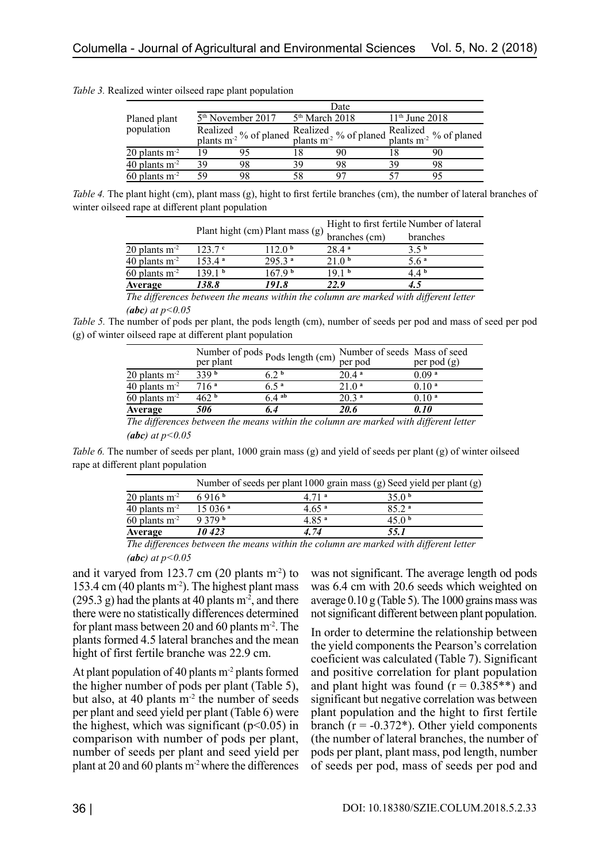|                             | Date |                                                                                                                   |    |                            |                  |    |  |
|-----------------------------|------|-------------------------------------------------------------------------------------------------------------------|----|----------------------------|------------------|----|--|
| Planed plant<br>population  |      | 5 <sup>th</sup> November 2017                                                                                     |    | 5 <sup>th</sup> March 2018 | $11th$ June 2018 |    |  |
|                             |      | Realized $\frac{1}{2}$ % of planed $\frac{1}{2}$ % of planed $\frac{1}{2}$ % of plants m <sup>2</sup> % of planed |    |                            |                  |    |  |
| $20$ plants m <sup>-2</sup> | 19   |                                                                                                                   |    |                            |                  |    |  |
| $40$ plants m <sup>-2</sup> | 39   | 98                                                                                                                | 39 | 98                         | 30               | 98 |  |
| $60$ plants m <sup>-2</sup> | 59   | 98                                                                                                                |    |                            |                  |    |  |

*Table 3.* Realized winter oilseed rape plant population

*Table 4.* The plant hight (cm), plant mass (g), hight to first fertile branches (cm), the number of lateral branches of winter oilseed rape at different plant population

| Average                     | 138.8              | 191.8                           | 22.9                                     |                  |  |  |
|-----------------------------|--------------------|---------------------------------|------------------------------------------|------------------|--|--|
| $60$ plants m <sup>-2</sup> | 139.1 b            | 167.9 <sup>b</sup>              | 19.1 <sup>b</sup>                        | 44 հ             |  |  |
| 40 plants $m2$              | 153.4 <sup>a</sup> | $295.3$ <sup>a</sup>            | 21.0 <sup>b</sup>                        | 5.6 <sup>a</sup> |  |  |
| $20$ plants m <sup>-2</sup> | 123.7c             | 12.0 <sup>b</sup>               | 28 4 ª                                   | 3.5 <sup>b</sup> |  |  |
|                             |                    |                                 | branches (cm)                            | branches         |  |  |
|                             |                    | Plant hight (cm) Plant mass (g) | Hight to first fertile Number of lateral |                  |  |  |

*The differences between the means within the column are marked with different letter (abc) at p<0.05* 

*Table 5.* The number of pods per plant, the pods length (cm), number of seeds per pod and mass of seed per pod (g) of winter oilseed rape at different plant population

|                             | per plant        | Number of pods $\text{Pods length (cm)}$ <sup>1</sup> | Number of seeds Mass of seed<br>per pod | per pod $(g)$     |
|-----------------------------|------------------|-------------------------------------------------------|-----------------------------------------|-------------------|
| $20$ plants m <sup>-2</sup> | 339 <sup>b</sup> | ና ን b                                                 | 20.4a                                   | 0.09 <sup>a</sup> |
| 40 plants $m2$              | 716 <sup>a</sup> | 65ª                                                   | 21.0 <sup>a</sup>                       | 0.10 <sup>a</sup> |
| $60$ plants m <sup>-2</sup> | 462 հ            | 64 <sup>ab</sup>                                      | 20.3 <sup>a</sup>                       | 0.10 <sup>a</sup> |
| Average                     | 506              |                                                       | 20.6                                    | 0. I O            |

*The differences between the means within the column are marked with different letter (abc) at p<0.05* 

*Table 6.* The number of seeds per plant, 1000 grain mass (g) and yield of seeds per plant (g) of winter oilseed rape at different plant population

|                             | Number of seeds per plant 1000 grain mass (g) Seed yield per plant (g) |                   |                   |  |  |  |  |
|-----------------------------|------------------------------------------------------------------------|-------------------|-------------------|--|--|--|--|
| $20$ plants m <sup>-2</sup> | 6916 <sup>b</sup>                                                      | 4.71 <sup>a</sup> | 35.0 <sup>b</sup> |  |  |  |  |
| 40 plants $m-2$             | 15036 <sup>a</sup>                                                     | 4.65 <sup>a</sup> | 85.2 <sup>a</sup> |  |  |  |  |
| $60$ plants m <sup>-2</sup> | 9379 <sup>b</sup>                                                      | 4.85 <sup>a</sup> | 45.0 <sup>b</sup> |  |  |  |  |
| Average                     | 10 423                                                                 | 4.74              | 55.1              |  |  |  |  |
| $-1$ $-1$                   |                                                                        | .                 |                   |  |  |  |  |

*The differences between the means within the column are marked with different letter (abc) at p<0.05* 

and it varyed from  $123.7$  cm  $(20$  plants m<sup>-2</sup>) to 153.4 cm (40 plants  $m<sup>2</sup>$ ). The highest plant mass  $(295.3 \text{ g})$  had the plants at 40 plants m<sup>-2</sup>, and there there were no statistically differences determined for plant mass between 20 and 60 plants  $m<sup>2</sup>$ . The plants formed 4.5 lateral branches and the mean hight of first fertile branche was 22.9 cm.

At plant population of 40 plants  $m<sup>2</sup>$  plants formed the higher number of pods per plant (Table 5), but also, at 40 plants  $m<sup>2</sup>$  the number of seeds per plant and seed yield per plant (Table 6) were the highest, which was significant  $(p<0.05)$  in comparison with number of pods per plant, number of seeds per plant and seed yield per plant at 20 and 60 plants  $m<sup>2</sup>$  where the differences was not significant. The average length od pods was 6.4 cm with 20.6 seeds which weighted on average  $0.10$  g (Table 5). The 1000 grains mass was not significant different between plant population.

In order to determine the relationship between the yield components the Pearson's correlation coeficient was calculated (Table 7). Significant and positive correlation for plant population and plant hight was found  $(r = 0.385^{**})$  and significant but negative correlation was between plant population and the hight to first fertile branch ( $r = -0.372$ <sup>\*</sup>). Other yield components (the number of lateral branches, the number of pods per plant, plant mass, pod length, number of seeds per pod, mass of seeds per pod and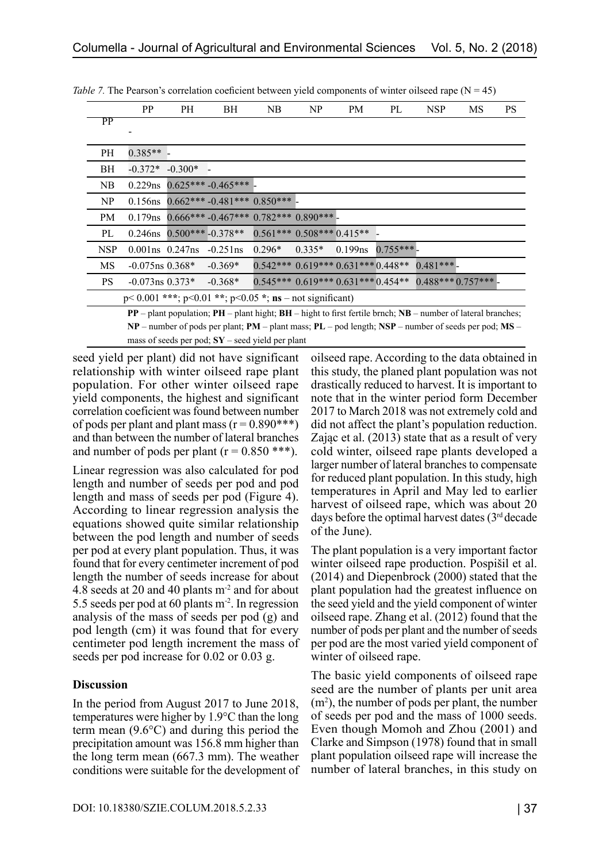|            | <b>PP</b>                                                                                              | <b>PH</b>   | BН                                                                                                                   | NB       | NP                                                | PM         | PL         | <b>NSP</b> | MS | PS |
|------------|--------------------------------------------------------------------------------------------------------|-------------|----------------------------------------------------------------------------------------------------------------------|----------|---------------------------------------------------|------------|------------|------------|----|----|
| PP         |                                                                                                        |             |                                                                                                                      |          |                                                   |            |            |            |    |    |
|            |                                                                                                        |             |                                                                                                                      |          |                                                   |            |            |            |    |    |
| PН         | $0.385**$ -                                                                                            |             |                                                                                                                      |          |                                                   |            |            |            |    |    |
| ВH         | $-0.372*$                                                                                              | $-0.300*$ - |                                                                                                                      |          |                                                   |            |            |            |    |    |
| NB         | $0.229$ ns                                                                                             |             | $0.625***-0.465***$                                                                                                  |          |                                                   |            |            |            |    |    |
| NP         | $0.156$ ns                                                                                             |             | $0.662***-0.481***$ 0.850*** -                                                                                       |          |                                                   |            |            |            |    |    |
| <b>PM</b>  | $0.179$ ns                                                                                             |             | $0.666***$ -0.467*** 0.782*** 0.890*** -                                                                             |          |                                                   |            |            |            |    |    |
| PL         | $0.246$ ns                                                                                             |             | $0.500***-0.378**$                                                                                                   |          | $0.561***$ $0.508***$ $0.415**$ -                 |            |            |            |    |    |
| <b>NSP</b> | $0.001$ ns $0.247$ ns                                                                                  |             | $-0.251$ ns                                                                                                          | $0.296*$ | $0.335*$                                          | $0.199$ ns | $0.755***$ |            |    |    |
| MS         | $-0.075$ ns $0.368*$                                                                                   |             | $-0.369*$                                                                                                            |          | $0.542***0.619***0.631***0.448**0.481***$         |            |            |            |    |    |
| PS.        | $-0.073$ ns $0.373*$                                                                                   |             | $-0.368*$                                                                                                            |          | $0.545***0.619***0.631***0.454**0.488***0.757***$ |            |            |            |    |    |
|            |                                                                                                        |             | $p<0.001$ ***; $p<0.01$ **; $p<0.05$ *; $ns$ – not significant)                                                      |          |                                                   |            |            |            |    |    |
|            |                                                                                                        |             | $PP$ – plant population; $PH$ – plant hight; $BH$ – hight to first fertile brnch; $NB$ – number of lateral branches; |          |                                                   |            |            |            |    |    |
|            | $NP$ – number of pods per plant; PM – plant mass; PL – pod length; NSP – number of seeds per pod; MS – |             |                                                                                                                      |          |                                                   |            |            |            |    |    |

*Table 7.* The Pearson's correlation coeficient between yield components of winter oilseed rape  $(N = 45)$ 

seed yield per plant) did not have significant relationship with winter oilseed rape plant population. For other winter oilseed rape yield components, the highest and significant correlation coeficient was found between number of pods per plant and plant mass  $(r = 0.890***)$ and than between the number of lateral branches and number of pods per plant  $(r = 0.850$  \*\*\*).

mass of seeds per pod; **SY** – seed yield per plant

Linear regression was also calculated for pod length and number of seeds per pod and pod length and mass of seeds per pod (Figure 4). According to linear regression analysis the equations showed quite similar relationship between the pod length and number of seeds per pod at every plant population. Thus, it was found that for every centimeter increment of pod length the number of seeds increase for about 4.8 seeds at 20 and 40 plants m-2 and for about 5.5 seeds per pod at 60 plants  $m<sup>2</sup>$ . In regression analysis of the mass of seeds per pod (g) and pod length (cm) it was found that for every centimeter pod length increment the mass of seeds per pod increase for 0.02 or 0.03 g.

## **Discussion**

In the period from August 2017 to June 2018, temperatures were higher by 1.9°C than the long term mean (9.6°C) and during this period the precipitation amount was 156.8 mm higher than the long term mean (667.3 mm). The weather conditions were suitable for the development of oilseed rape. According to the data obtained in this study, the planed plant population was not drastically reduced to harvest. It is important to note that in the winter period form December 2017 to March 2018 was not extremely cold and did not affect the plant's population reduction. Zając et al. (2013) state that as a result of very cold winter, oilseed rape plants developed a larger number of lateral branches to compensate for reduced plant population. In this study, high temperatures in April and May led to earlier harvest of oilseed rape, which was about 20 days before the optimal harvest dates (3rd decade of the June).

The plant population is a very important factor winter oilseed rape production. Pospišil et al. (2014) and Diepenbrock (2000) stated that the plant population had the greatest influence on the seed yield and the yield component of winter oilseed rape. Zhang et al. (2012) found that the number of pods per plant and the number of seeds per pod are the most varied yield component of winter of oilseed rape.

The basic yield components of oilseed rape seed are the number of plants per unit area  $(m<sup>2</sup>)$ , the number of pods per plant, the number of seeds per pod and the mass of 1000 seeds. Even though Momoh and Zhou (2001) and Clarke and Simpson (1978) found that in small plant population oilseed rape will increase the number of lateral branches, in this study on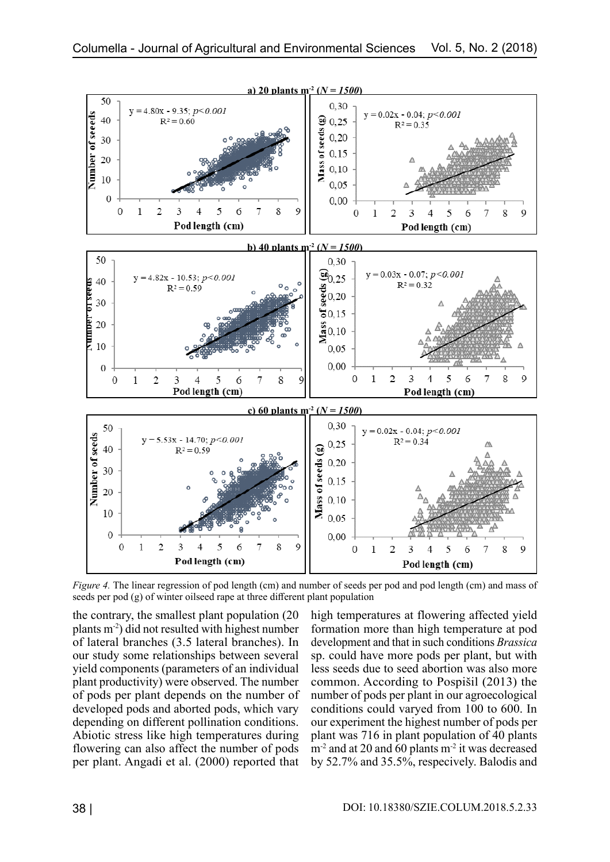

*Figure 4.* The linear regression of pod length (cm) and number of seeds per pod and pod length (cm) and mass of seeds per pod (g) of winter oilseed rape at three different plant population

the contrary, the smallest plant population (20 plants m-2) did not resulted with highest number of lateral branches (3.5 lateral branches). In our study some relationships between several yield components (parameters of an individual plant productivity) were observed. The number of pods per plant depends on the number of developed pods and aborted pods, which vary depending on different pollination conditions. Abiotic stress like high temperatures during flowering can also affect the number of pods per plant. Angadi et al. (2000) reported that

high temperatures at flowering affected yield formation more than high temperature at pod development and that in such conditions *Brassica* sp. could have more pods per plant, but with less seeds due to seed abortion was also more common. According to Pospišil (2013) the number of pods per plant in our agroecological conditions could varyed from 100 to 600. In our experiment the highest number of pods per plant was 716 in plant population of 40 plants  $m<sup>2</sup>$  and at 20 and 60 plants  $m<sup>2</sup>$  it was decreased by 52.7% and 35.5%, respecively. Balodis and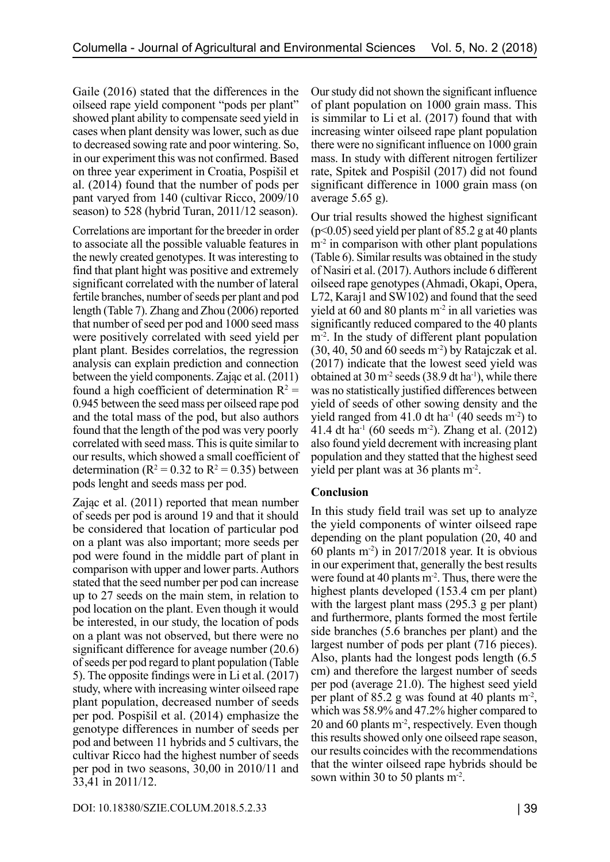Gaile (2016) stated that the differences in the oilseed rape yield component "pods per plant" showed plant ability to compensate seed yield in cases when plant density was lower, such as due to decreased sowing rate and poor wintering. So, in our experiment this was not confirmed. Based on three year experiment in Croatia, Pospišil et al. (2014) found that the number of pods per pant varyed from 140 (cultivar Ricco, 2009/10 season) to 528 (hybrid Turan, 2011/12 season).

Correlations are important for the breeder in order to associate all the possible valuable features in the newly created genotypes. It was interesting to find that plant hight was positive and extremely significant correlated with the number of lateral fertile branches, number of seeds per plant and pod length (Table 7). Zhang and Zhou (2006) reported that number of seed per pod and 1000 seed mass were positively correlated with seed yield per plant plant. Besides correlatios, the regression analysis can explain prediction and connection between the yield components. Zając et al. (2011) found a high coefficient of determination  $R^2 =$ 0.945 between the seed mass per oilseed rape pod and the total mass of the pod, but also authors found that the length of the pod was very poorly correlated with seed mass. This is quite similar to our results, which showed a small coefficient of determination ( $R^2 = 0.32$  to  $R^2 = 0.35$ ) between pods lenght and seeds mass per pod.

Zając et al. (2011) reported that mean number of seeds per pod is around 19 and that it should be considered that location of particular pod on a plant was also important; more seeds per pod were found in the middle part of plant in comparison with upper and lower parts. Authors stated that the seed number per pod can increase up to 27 seeds on the main stem, in relation to pod location on the plant. Even though it would be interested, in our study, the location of pods on a plant was not observed, but there were no significant difference for aveage number (20.6) of seeds per pod regard to plant population (Table 5). The opposite findings were in Li et al. (2017) study, where with increasing winter oilseed rape plant population, decreased number of seeds per pod. Pospišil et al. (2014) emphasize the genotype differences in number of seeds per pod and between 11 hybrids and 5 cultivars, the cultivar Ricco had the highest number of seeds per pod in two seasons, 30,00 in 2010/11 and 33,41 in 2011/12.

Our study did not shown the significant influence of plant population on 1000 grain mass. This is simmilar to Li et al. (2017) found that with increasing winter oilseed rape plant population there were no significant influence on 1000 grain mass. In study with different nitrogen fertilizer rate, Spitek and Pospišil (2017) did not found significant difference in 1000 grain mass (on average 5.65 g).

Our trial results showed the highest significant  $(p<0.05)$  seed yield per plant of 85.2 g at 40 plants  $m<sup>2</sup>$  in comparison with other plant populations (Table 6). Similar results was obtained in the study of Nasiri et al. (2017). Authors include 6 different oilseed rape genotypes (Ahmadi, Okapi, Opera, L72, Karaj1 and SW102) and found that the seed yield at 60 and 80 plants  $m<sup>2</sup>$  in all varieties was significantly reduced compared to the 40 plants m<sup>-2</sup>. In the study of different plant population (30, 40, 50 and 60 seeds m-2) by Ratajczak et al. (2017) indicate that the lowest seed yield was obtained at  $30 \text{ m}^2$  seeds (38.9 dt ha<sup>-1</sup>), while there was no statistically justified differences between yield of seeds of other sowing density and the yield ranged from 41.0 dt ha<sup>-1</sup> (40 seeds m<sup>-2</sup>) to 41.4 dt ha<sup>-1</sup> (60 seeds m<sup>-2</sup>). Zhang et al.  $(2012)$ also found yield decrement with increasing plant population and they statted that the highest seed yield per plant was at 36 plants m-2.

## **Conclusion**

In this study field trail was set up to analyze the yield components of winter oilseed rape depending on the plant population (20, 40 and 60 plants  $m<sup>2</sup>$ ) in 2017/2018 year. It is obvious in our experiment that, generally the best results were found at 40 plants  $m<sup>2</sup>$ . Thus, there were the highest plants developed (153.4 cm per plant) with the largest plant mass (295.3 g per plant) and furthermore, plants formed the most fertile side branches (5.6 branches per plant) and the largest number of pods per plant (716 pieces). Also, plants had the longest pods length (6.5 cm) and therefore the largest number of seeds per pod (average 21.0). The highest seed yield per plant of 85.2 g was found at 40 plants  $m<sup>2</sup>$ , which was 58.9% and 47.2% higher compared to 20 and 60 plants  $m<sup>2</sup>$ , respectively. Even though this results showed only one oilseed rape season, our results coincides with the recommendations that the winter oilseed rape hybrids should be sown within 30 to 50 plants m<sup>-2</sup>.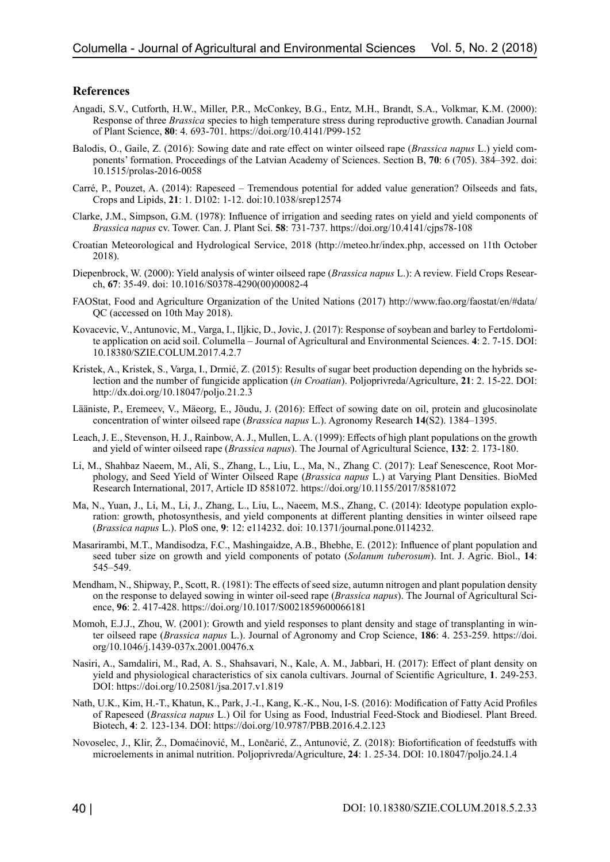#### **References**

- Angadi, S.V., Cutforth, H.W., Miller, P.R., McConkey, B.G., Entz, M.H., Brandt, S.A., Volkmar, K.M. (2000): Response of three *Brassica* species to high temperature stress during reproductive growth. Canadian Journal of Plant Science, **80**: 4. 693-701. https://doi.org/10.4141/P99-152
- Balodis, O., Gaile, Z. (2016): Sowing date and rate effect on winter oilseed rape (*Brassica napus* L.) yield components' formation. Proceedings of the Latvian Academy of Sciences. Section B, **70**: 6 (705). 384–392. doi: 10.1515/prolas-2016-0058
- Carré, P., Pouzet, A. (2014): Rapeseed Tremendous potential for added value generation? Oilseeds and fats, Crops and Lipids, **21**: 1. D102: 1-12. doi:10.1038/srep12574
- Clarke, J.M., Simpson, G.M. (1978): Influence of irrigation and seeding rates on yield and yield components of *Brassica napus* cv. Tower. Can. J. Plant Sci. **58**: 731-737. https://doi.org/10.4141/cjps78-108
- Croatian Meteorological and Hydrological Service, 2018 (http://meteo.hr/index.php, accessed on 11th October 2018).
- Diepenbrock, W. (2000): Yield analysis of winter oilseed rape (*Brassica napus* L.): A review. Field Crops Research, **67**: 35-49. doi: 10.1016/S0378-4290(00)00082-4
- FAOStat, Food and Agriculture Organization of the United Nations (2017) http://www.fao.org/faostat/en/#data/ QC (accessed on 10th May 2018).
- Kovacevic, V., Antunovic, M., Varga, I., Iljkic, D., Jovic, J. (2017): Response of soybean and barley to Fertdolomite application on acid soil. Columella – Journal of Agricultural and Environmental Sciences. **4**: 2. 7-15. DOI: 10.18380/SZIE.COLUM.2017.4.2.7
- Kristek, A., Kristek, S., Varga, I., Drmić, Z. (2015): Results of sugar beet production depending on the hybrids selection and the number of fungicide application (*in Croatian*). Poljoprivreda/Agriculture, **21**: 2. 15-22. DOI: http://dx.doi.org/10.18047/poljo.21.2.3
- Lääniste, P., Eremeev, V., Mäeorg, E., Jõudu, J. (2016): Effect of sowing date on oil, protein and glucosinolate concentration of winter oilseed rape (*Brassica napus* L.). Agronomy Research **14**(S2). 1384–1395.
- Leach, J. E., Stevenson, H. J., Rainbow, A. J., Mullen, L. A. (1999): Effects of high plant populations on the growth and yield of winter oilseed rape (*Brassica napus*). The Journal of Agricultural Science, **132**: 2. 173-180.
- Li, M., Shahbaz Naeem, M., Ali, S., Zhang, L., Liu, L., Ma, N., Zhang C. (2017): Leaf Senescence, Root Morphology, and Seed Yield of Winter Oilseed Rape (*Brassica napus* L.) at Varying Plant Densities. BioMed Research International, 2017, Article ID 8581072. https://doi.org/10.1155/2017/8581072
- Ma, N., Yuan, J., Li, M., Li, J., Zhang, L., Liu, L., Naeem, M.S., Zhang, C. (2014): Ideotype population exploration: growth, photosynthesis, and yield components at different planting densities in winter oilseed rape (*Brassica napus* L.). PloS one, **9**: 12: e114232. doi: 10.1371/journal.pone.0114232.
- Masarirambi, M.T., Mandisodza, F.C., Mashingaidze, A.B., Bhebhe, E. (2012): Influence of plant population and seed tuber size on growth and yield components of potato (*Solanum tuberosum*). Int. J. Agric. Biol., **14**: 545–549.
- Mendham, N., Shipway, P., Scott, R. (1981): The effects of seed size, autumn nitrogen and plant population density on the response to delayed sowing in winter oil-seed rape (*Brassica napus*). The Journal of Agricultural Science, **96**: 2. 417-428. https://doi.org/10.1017/S0021859600066181
- Momoh, E.J.J., Zhou, W. (2001): Growth and yield responses to plant density and stage of transplanting in winter oilseed rape (*Brassica napus* L.). Journal of Agronomy and Crop Science, **186**: 4. 253-259. https://doi. org/10.1046/j.1439-037x.2001.00476.x
- Nasiri, A., Samdaliri, M., Rad, A. S., Shahsavari, N., Kale, A. M., Jabbari, H. (2017): Effect of plant density on yield and physiological characteristics of six canola cultivars. Journal of Scientific Agriculture, **1**. 249-253. DOI: https://doi.org/10.25081/jsa.2017.v1.819
- Nath, U.K., Kim, H.-T., Khatun, K., Park, J.-I., Kang, K.-K., Nou, I-S. (2016): Modification of Fatty Acid Profiles of Rapeseed (*Brassica napus* L.) Oil for Using as Food, Industrial Feed-Stock and Biodiesel. Plant Breed. Biotech, **4**: 2. 123-134. DOI: https://doi.org/10.9787/PBB.2016.4.2.123
- Novoselec, J., Klir, Ž., Domaćinović, M., Lončarić, Z., Antunović, Z. (2018): Biofortification of feedstuffs with microelements in animal nutrition. Poljoprivreda/Agriculture, **24**: 1. 25-34. DOI: 10.18047/poljo.24.1.4